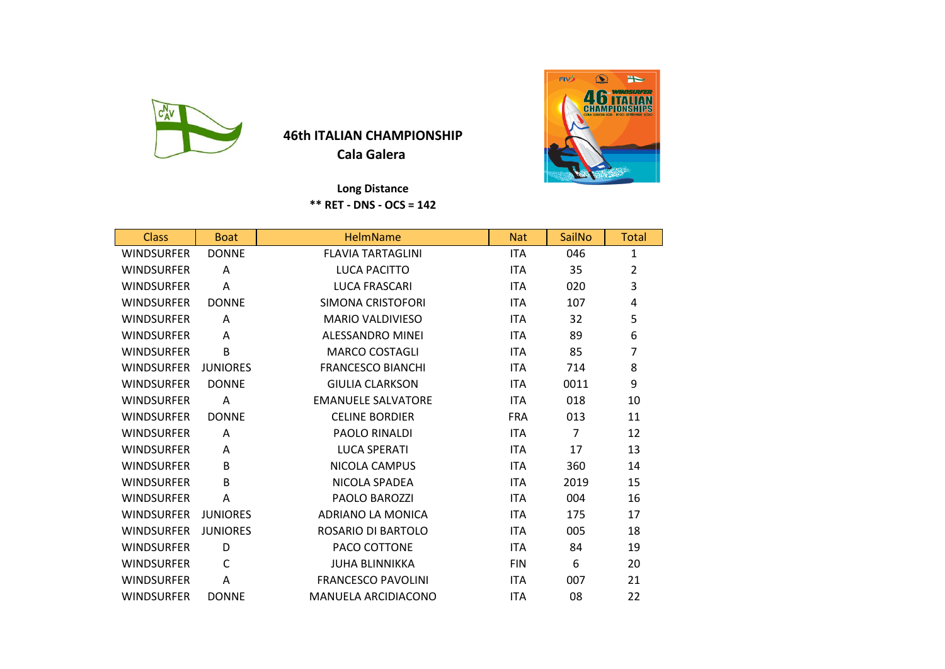

## **46th ITALIAN CHAMPIONSHIP**

**Cala Galera** 

 **Long Distance \*\* RET - DNS - OCS = 142**

| <b>Class</b>      | <b>Boat</b>     | <b>HelmName</b>           | <b>Nat</b> | SailNo         | <b>Total</b> |
|-------------------|-----------------|---------------------------|------------|----------------|--------------|
| <b>WINDSURFER</b> | <b>DONNE</b>    | <b>FLAVIA TARTAGLINI</b>  | <b>ITA</b> | 046            | $\mathbf{1}$ |
| <b>WINDSURFER</b> | A               | <b>LUCA PACITTO</b>       | <b>ITA</b> | 35             | 2            |
| <b>WINDSURFER</b> | А               | LUCA FRASCARI             | <b>ITA</b> | 020            | 3            |
| <b>WINDSURFER</b> | <b>DONNE</b>    | SIMONA CRISTOFORI         | <b>ITA</b> | 107            | 4            |
| <b>WINDSURFER</b> | A               | <b>MARIO VALDIVIESO</b>   | <b>ITA</b> | 32             | 5            |
| <b>WINDSURFER</b> | A               | <b>ALESSANDRO MINEI</b>   | <b>ITA</b> | 89             | 6            |
| <b>WINDSURFER</b> | B               | <b>MARCO COSTAGLI</b>     | <b>ITA</b> | 85             | 7            |
| <b>WINDSURFER</b> | <b>JUNIORES</b> | <b>FRANCESCO BIANCHI</b>  | <b>ITA</b> | 714            | 8            |
| <b>WINDSURFER</b> | <b>DONNE</b>    | <b>GIULIA CLARKSON</b>    | <b>ITA</b> | 0011           | 9            |
| <b>WINDSURFER</b> | Α               | <b>EMANUELE SALVATORE</b> | <b>ITA</b> | 018            | 10           |
| <b>WINDSURFER</b> | <b>DONNE</b>    | <b>CELINE BORDIER</b>     | <b>FRA</b> | 013            | 11           |
| <b>WINDSURFER</b> | A               | PAOLO RINALDI             | <b>ITA</b> | $\overline{7}$ | 12           |
| <b>WINDSURFER</b> | A               | <b>LUCA SPERATI</b>       | <b>ITA</b> | 17             | 13           |
| <b>WINDSURFER</b> | B               | <b>NICOLA CAMPUS</b>      | <b>ITA</b> | 360            | 14           |
| <b>WINDSURFER</b> | B               | NICOLA SPADEA             | <b>ITA</b> | 2019           | 15           |
| <b>WINDSURFER</b> | Α               | <b>PAOLO BAROZZI</b>      | <b>ITA</b> | 004            | 16           |
| <b>WINDSURFER</b> | <b>JUNIORES</b> | ADRIANO LA MONICA         | <b>ITA</b> | 175            | 17           |
| <b>WINDSURFER</b> | <b>JUNIORES</b> | ROSARIO DI BARTOLO        | <b>ITA</b> | 005            | 18           |
| <b>WINDSURFER</b> | D               | PACO COTTONE              | <b>ITA</b> | 84             | 19           |
| <b>WINDSURFER</b> | C               | <b>JUHA BLINNIKKA</b>     | <b>FIN</b> | 6              | 20           |
| <b>WINDSURFER</b> | A               | <b>FRANCESCO PAVOLINI</b> | <b>ITA</b> | 007            | 21           |
| <b>WINDSURFER</b> | <b>DONNE</b>    | MANUELA ARCIDIACONO       | <b>ITA</b> | 08             | 22           |

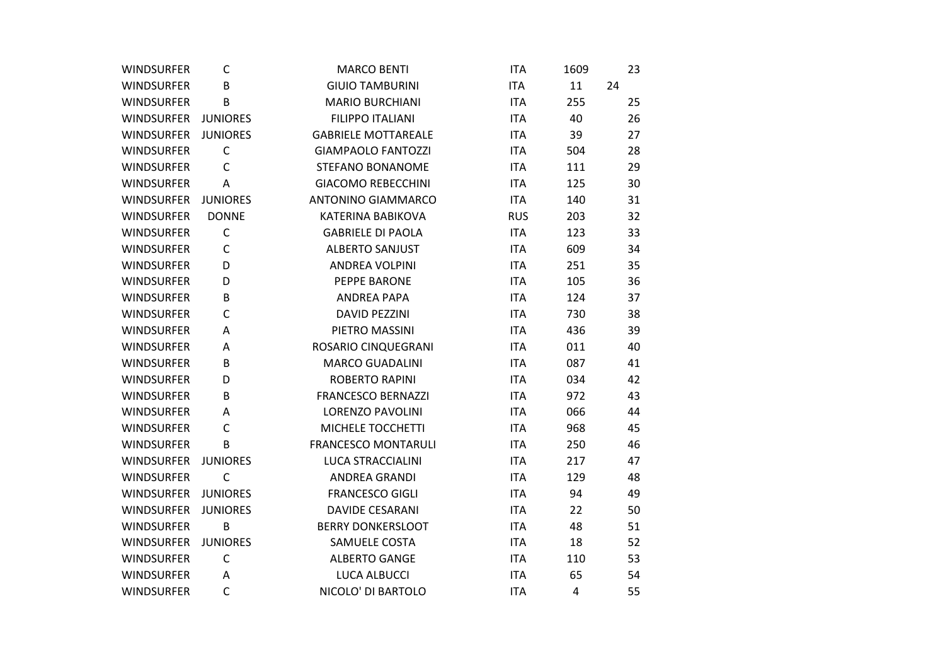| <b>WINDSURFER</b>   | C               | <b>MARCO BENTI</b>         | <b>ITA</b> | 1609 | 23 |
|---------------------|-----------------|----------------------------|------------|------|----|
| <b>WINDSURFER</b>   | B               | <b>GIUIO TAMBURINI</b>     | <b>ITA</b> | 11   | 24 |
| <b>WINDSURFER</b>   | B               | <b>MARIO BURCHIANI</b>     | <b>ITA</b> | 255  | 25 |
| WINDSURFER JUNIORES |                 | <b>FILIPPO ITALIANI</b>    | <b>ITA</b> | 40   | 26 |
| <b>WINDSURFER</b>   | <b>JUNIORES</b> | <b>GABRIELE MOTTAREALE</b> | <b>ITA</b> | 39   | 27 |
| <b>WINDSURFER</b>   | $\mathsf{C}$    | <b>GIAMPAOLO FANTOZZI</b>  | <b>ITA</b> | 504  | 28 |
| <b>WINDSURFER</b>   | $\mathsf{C}$    | STEFANO BONANOME           | <b>ITA</b> | 111  | 29 |
| <b>WINDSURFER</b>   | Α               | <b>GIACOMO REBECCHINI</b>  | <b>ITA</b> | 125  | 30 |
| <b>WINDSURFER</b>   | <b>JUNIORES</b> | <b>ANTONINO GIAMMARCO</b>  | <b>ITA</b> | 140  | 31 |
| <b>WINDSURFER</b>   | <b>DONNE</b>    | KATERINA BABIKOVA          | <b>RUS</b> | 203  | 32 |
| <b>WINDSURFER</b>   | $\mathsf C$     | <b>GABRIELE DI PAOLA</b>   | <b>ITA</b> | 123  | 33 |
| <b>WINDSURFER</b>   | $\mathsf C$     | <b>ALBERTO SANJUST</b>     | <b>ITA</b> | 609  | 34 |
| <b>WINDSURFER</b>   | D               | ANDREA VOLPINI             | <b>ITA</b> | 251  | 35 |
| <b>WINDSURFER</b>   | D               | PEPPE BARONE               | <b>ITA</b> | 105  | 36 |
| <b>WINDSURFER</b>   | B               | <b>ANDREA PAPA</b>         | <b>ITA</b> | 124  | 37 |
| <b>WINDSURFER</b>   | C               | <b>DAVID PEZZINI</b>       | <b>ITA</b> | 730  | 38 |
| <b>WINDSURFER</b>   | A               | PIETRO MASSINI             | <b>ITA</b> | 436  | 39 |
| <b>WINDSURFER</b>   | Α               | ROSARIO CINQUEGRANI        | <b>ITA</b> | 011  | 40 |
| <b>WINDSURFER</b>   | B               | <b>MARCO GUADALINI</b>     | <b>ITA</b> | 087  | 41 |
| <b>WINDSURFER</b>   | D               | <b>ROBERTO RAPINI</b>      | <b>ITA</b> | 034  | 42 |
| <b>WINDSURFER</b>   | B               | <b>FRANCESCO BERNAZZI</b>  | <b>ITA</b> | 972  | 43 |
| <b>WINDSURFER</b>   | Α               | <b>LORENZO PAVOLINI</b>    | <b>ITA</b> | 066  | 44 |
| <b>WINDSURFER</b>   | C               | MICHELE TOCCHETTI          | <b>ITA</b> | 968  | 45 |
| <b>WINDSURFER</b>   | B               | <b>FRANCESCO MONTARULI</b> | <b>ITA</b> | 250  | 46 |
| WINDSURFER          | <b>JUNIORES</b> | LUCA STRACCIALINI          | <b>ITA</b> | 217  | 47 |
| <b>WINDSURFER</b>   | $\mathsf{C}$    | ANDREA GRANDI              | <b>ITA</b> | 129  | 48 |
| WINDSURFER          | <b>JUNIORES</b> | <b>FRANCESCO GIGLI</b>     | <b>ITA</b> | 94   | 49 |
| <b>WINDSURFER</b>   | <b>JUNIORES</b> | <b>DAVIDE CESARANI</b>     | <b>ITA</b> | 22   | 50 |
| <b>WINDSURFER</b>   | B               | <b>BERRY DONKERSLOOT</b>   | <b>ITA</b> | 48   | 51 |
| WINDSURFER          | <b>JUNIORES</b> | SAMUELE COSTA              | <b>ITA</b> | 18   | 52 |
| <b>WINDSURFER</b>   | $\mathsf{C}$    | <b>ALBERTO GANGE</b>       | <b>ITA</b> | 110  | 53 |
| <b>WINDSURFER</b>   | Α               | <b>LUCA ALBUCCI</b>        | <b>ITA</b> | 65   | 54 |
| <b>WINDSURFER</b>   | $\mathsf{C}$    | NICOLO' DI BARTOLO         | <b>ITA</b> | 4    | 55 |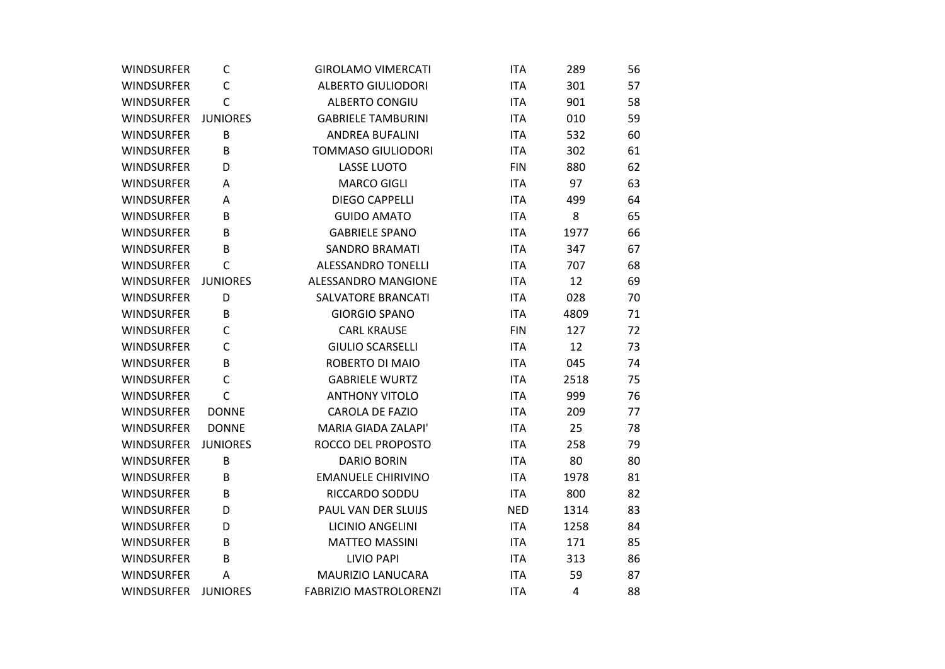| <b>WINDSURFER</b>   | C               | <b>GIROLAMO VIMERCATI</b>     | <b>ITA</b> | 289  | 56 |
|---------------------|-----------------|-------------------------------|------------|------|----|
| <b>WINDSURFER</b>   | C               | <b>ALBERTO GIULIODORI</b>     | <b>ITA</b> | 301  | 57 |
| <b>WINDSURFER</b>   | C               | <b>ALBERTO CONGIU</b>         | <b>ITA</b> | 901  | 58 |
| WINDSURFER JUNIORES |                 | <b>GABRIELE TAMBURINI</b>     | <b>ITA</b> | 010  | 59 |
| <b>WINDSURFER</b>   | B               | <b>ANDREA BUFALINI</b>        | <b>ITA</b> | 532  | 60 |
| <b>WINDSURFER</b>   | B               | <b>TOMMASO GIULIODORI</b>     | <b>ITA</b> | 302  | 61 |
| WINDSURFER          | D               | <b>LASSE LUOTO</b>            | <b>FIN</b> | 880  | 62 |
| <b>WINDSURFER</b>   | Α               | <b>MARCO GIGLI</b>            | <b>ITA</b> | 97   | 63 |
| <b>WINDSURFER</b>   | Α               | <b>DIEGO CAPPELLI</b>         | <b>ITA</b> | 499  | 64 |
| <b>WINDSURFER</b>   | B               | <b>GUIDO AMATO</b>            | <b>ITA</b> | 8    | 65 |
| <b>WINDSURFER</b>   | B               | <b>GABRIELE SPANO</b>         | <b>ITA</b> | 1977 | 66 |
| <b>WINDSURFER</b>   | B               | <b>SANDRO BRAMATI</b>         | <b>ITA</b> | 347  | 67 |
| <b>WINDSURFER</b>   | $\mathsf{C}$    | ALESSANDRO TONELLI            | <b>ITA</b> | 707  | 68 |
| WINDSURFER          | <b>JUNIORES</b> | ALESSANDRO MANGIONE           | <b>ITA</b> | 12   | 69 |
| <b>WINDSURFER</b>   | D               | <b>SALVATORE BRANCATI</b>     | <b>ITA</b> | 028  | 70 |
| <b>WINDSURFER</b>   | B               | <b>GIORGIO SPANO</b>          | <b>ITA</b> | 4809 | 71 |
| <b>WINDSURFER</b>   | C               | <b>CARL KRAUSE</b>            | <b>FIN</b> | 127  | 72 |
| <b>WINDSURFER</b>   | C               | <b>GIULIO SCARSELLI</b>       | <b>ITA</b> | 12   | 73 |
| <b>WINDSURFER</b>   | B               | ROBERTO DI MAIO               | <b>ITA</b> | 045  | 74 |
| <b>WINDSURFER</b>   | C               | <b>GABRIELE WURTZ</b>         | <b>ITA</b> | 2518 | 75 |
| <b>WINDSURFER</b>   | $\mathsf{C}$    | <b>ANTHONY VITOLO</b>         | <b>ITA</b> | 999  | 76 |
| <b>WINDSURFER</b>   | <b>DONNE</b>    | <b>CAROLA DE FAZIO</b>        | <b>ITA</b> | 209  | 77 |
| <b>WINDSURFER</b>   | <b>DONNE</b>    | MARIA GIADA ZALAPI'           | <b>ITA</b> | 25   | 78 |
| WINDSURFER          | <b>JUNIORES</b> | ROCCO DEL PROPOSTO            | <b>ITA</b> | 258  | 79 |
| <b>WINDSURFER</b>   | B               | <b>DARIO BORIN</b>            | <b>ITA</b> | 80   | 80 |
| <b>WINDSURFER</b>   | B               | <b>EMANUELE CHIRIVINO</b>     | <b>ITA</b> | 1978 | 81 |
| <b>WINDSURFER</b>   | B               | RICCARDO SODDU                | <b>ITA</b> | 800  | 82 |
| <b>WINDSURFER</b>   | D               | PAUL VAN DER SLUIJS           | <b>NED</b> | 1314 | 83 |
| <b>WINDSURFER</b>   | D               | <b>LICINIO ANGELINI</b>       | <b>ITA</b> | 1258 | 84 |
| <b>WINDSURFER</b>   | B               | <b>MATTEO MASSINI</b>         | <b>ITA</b> | 171  | 85 |
| <b>WINDSURFER</b>   | В               | <b>LIVIO PAPI</b>             | <b>ITA</b> | 313  | 86 |
| <b>WINDSURFER</b>   | A               | MAURIZIO LANUCARA             | <b>ITA</b> | 59   | 87 |
| <b>WINDSURFER</b>   | <b>JUNIORES</b> | <b>FABRIZIO MASTROLORENZI</b> | <b>ITA</b> | 4    | 88 |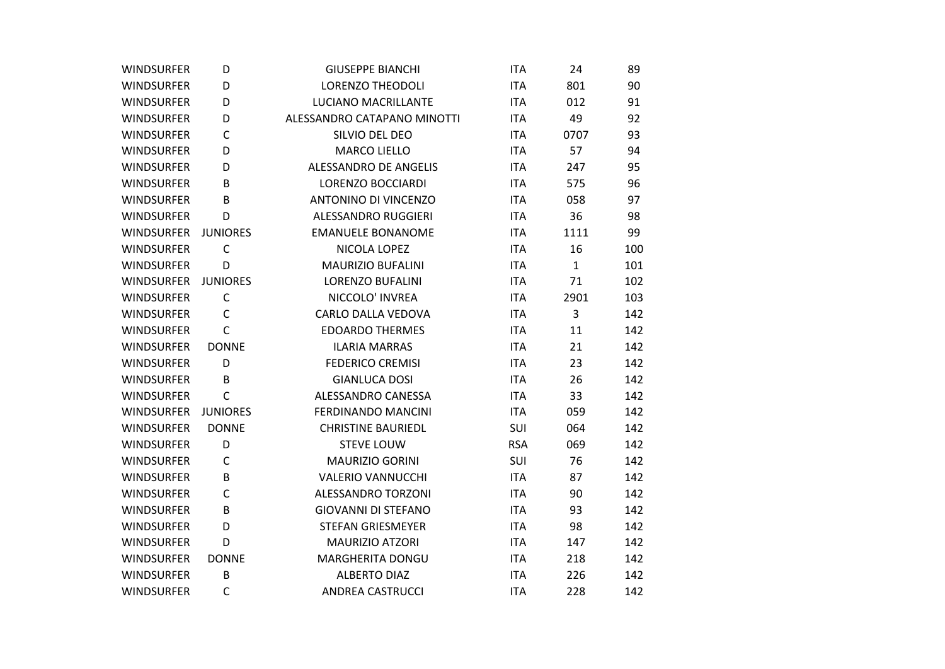| <b>WINDSURFER</b> | D               | <b>GIUSEPPE BIANCHI</b>     | <b>ITA</b> | 24           | 89  |
|-------------------|-----------------|-----------------------------|------------|--------------|-----|
| <b>WINDSURFER</b> | D               | <b>LORENZO THEODOLI</b>     | <b>ITA</b> | 801          | 90  |
| <b>WINDSURFER</b> | D               | LUCIANO MACRILLANTE         | <b>ITA</b> | 012          | 91  |
| <b>WINDSURFER</b> | D               | ALESSANDRO CATAPANO MINOTTI | <b>ITA</b> | 49           | 92  |
| <b>WINDSURFER</b> | C               | SILVIO DEL DEO              | <b>ITA</b> | 0707         | 93  |
| <b>WINDSURFER</b> | D               | <b>MARCO LIELLO</b>         | <b>ITA</b> | 57           | 94  |
| <b>WINDSURFER</b> | D               | ALESSANDRO DE ANGELIS       | <b>ITA</b> | 247          | 95  |
| <b>WINDSURFER</b> | B               | LORENZO BOCCIARDI           | <b>ITA</b> | 575          | 96  |
| <b>WINDSURFER</b> | B               | <b>ANTONINO DI VINCENZO</b> | <b>ITA</b> | 058          | 97  |
| <b>WINDSURFER</b> | D               | ALESSANDRO RUGGIERI         | <b>ITA</b> | 36           | 98  |
| WINDSURFER        | <b>JUNIORES</b> | <b>EMANUELE BONANOME</b>    | <b>ITA</b> | 1111         | 99  |
| <b>WINDSURFER</b> | $\mathsf{C}$    | NICOLA LOPEZ                | <b>ITA</b> | 16           | 100 |
| <b>WINDSURFER</b> | D               | <b>MAURIZIO BUFALINI</b>    | <b>ITA</b> | $\mathbf{1}$ | 101 |
| <b>WINDSURFER</b> | <b>JUNIORES</b> | <b>LORENZO BUFALINI</b>     | <b>ITA</b> | 71           | 102 |
| <b>WINDSURFER</b> | $\mathsf C$     | NICCOLO' INVREA             | <b>ITA</b> | 2901         | 103 |
| <b>WINDSURFER</b> | C               | CARLO DALLA VEDOVA          | <b>ITA</b> | 3            | 142 |
| <b>WINDSURFER</b> | $\mathsf{C}$    | <b>EDOARDO THERMES</b>      | <b>ITA</b> | 11           | 142 |
| <b>WINDSURFER</b> | <b>DONNE</b>    | <b>ILARIA MARRAS</b>        | <b>ITA</b> | 21           | 142 |
| <b>WINDSURFER</b> | D               | <b>FEDERICO CREMISI</b>     | <b>ITA</b> | 23           | 142 |
| <b>WINDSURFER</b> | B               | <b>GIANLUCA DOSI</b>        | <b>ITA</b> | 26           | 142 |
| <b>WINDSURFER</b> | C               | ALESSANDRO CANESSA          | <b>ITA</b> | 33           | 142 |
| <b>WINDSURFER</b> | <b>JUNIORES</b> | <b>FERDINANDO MANCINI</b>   | <b>ITA</b> | 059          | 142 |
| <b>WINDSURFER</b> | <b>DONNE</b>    | <b>CHRISTINE BAURIEDL</b>   | SUI        | 064          | 142 |
| <b>WINDSURFER</b> | D               | <b>STEVE LOUW</b>           | <b>RSA</b> | 069          | 142 |
| <b>WINDSURFER</b> | C               | <b>MAURIZIO GORINI</b>      | SUI        | 76           | 142 |
| <b>WINDSURFER</b> | B               | <b>VALERIO VANNUCCHI</b>    | <b>ITA</b> | 87           | 142 |
| <b>WINDSURFER</b> | $\mathsf C$     | ALESSANDRO TORZONI          | <b>ITA</b> | 90           | 142 |
| <b>WINDSURFER</b> | B               | <b>GIOVANNI DI STEFANO</b>  | <b>ITA</b> | 93           | 142 |
| <b>WINDSURFER</b> | D               | <b>STEFAN GRIESMEYER</b>    | <b>ITA</b> | 98           | 142 |
| <b>WINDSURFER</b> | D               | <b>MAURIZIO ATZORI</b>      | <b>ITA</b> | 147          | 142 |
| <b>WINDSURFER</b> | <b>DONNE</b>    | MARGHERITA DONGU            | <b>ITA</b> | 218          | 142 |
| <b>WINDSURFER</b> | B               | <b>ALBERTO DIAZ</b>         | <b>ITA</b> | 226          | 142 |
| <b>WINDSURFER</b> | $\mathsf{C}$    | <b>ANDREA CASTRUCCI</b>     | <b>ITA</b> | 228          | 142 |